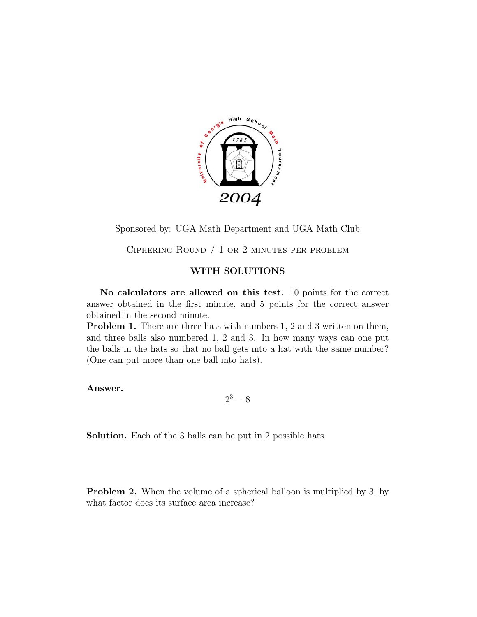

Sponsored by: UGA Math Department and UGA Math Club

Ciphering Round / 1 or 2 minutes per problem

# **WITH SOLUTIONS**

**No calculators are allowed on this test.** 10 points for the correct answer obtained in the first minute, and 5 points for the correct answer obtained in the second minute.

**Problem 1.** There are three hats with numbers 1, 2 and 3 written on them, and three balls also numbered 1, 2 and 3. In how many ways can one put the balls in the hats so that no ball gets into a hat with the same number? (One can put more than one ball into hats).

**Answer.**

$$
2^3 = 8
$$

**Solution.** Each of the 3 balls can be put in 2 possible hats.

**Problem 2.** When the volume of a spherical balloon is multiplied by 3, by what factor does its surface area increase?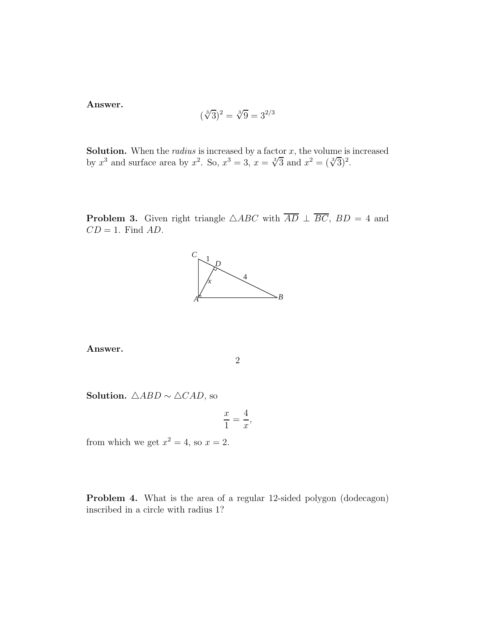**Answer.**

$$
(\sqrt[3]{3})^2 = \sqrt[3]{9} = 3^{2/3}
$$

**Solution.** When the *radius* is increased by a factor *x*, the volume is increased by  $x^3$  and surface area by  $x^2$ . So,  $x^3 = 3$ ,  $x = \sqrt[3]{3}$  and  $x^2 = (\sqrt[3]{3})^2$ .

**Problem 3.** Given right triangle  $\triangle ABC$  with  $\overline{AD} \perp \overline{BC}$ ,  $BD = 4$  and *CD* = 1. Find *AD*.



**Answer.**

2

**Solution.**  $\triangle ABD \sim \triangle CAD$ , so

$$
\frac{x}{1} = \frac{4}{x},
$$

from which we get  $x^2 = 4$ , so  $x = 2$ .

**Problem 4.** What is the area of a regular 12-sided polygon (dodecagon) inscribed in a circle with radius 1?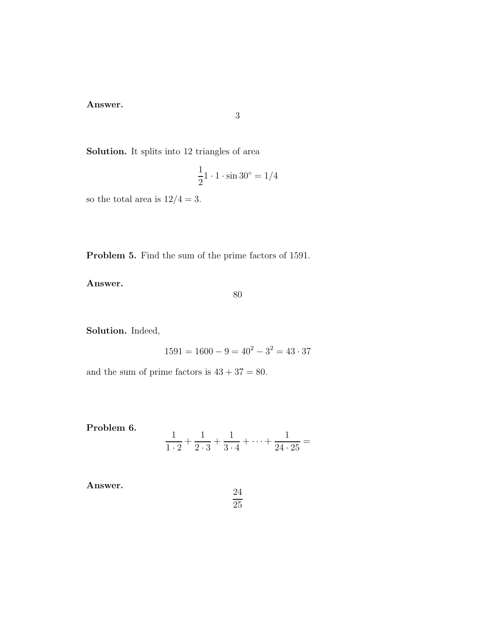**Answer.**

**Solution.** It splits into 12 triangles of area

$$
\frac{1}{2}\mathbf{1}\cdot\mathbf{1}\cdot\sin 30^\circ = 1/4
$$

so the total area is  $12/4 = 3.$ 

**Problem 5.** Find the sum of the prime factors of 1591.

**Answer.**

80

**Solution.** Indeed,

$$
1591 = 1600 - 9 = 40^2 - 3^2 = 43 \cdot 37
$$

24 25

and the sum of prime factors is  $43 + 37 = 80$ .

Problem 6. 
$$
\frac{1}{1 \cdot 2} + \frac{1}{2 \cdot 3} + \frac{1}{3 \cdot 4} + \dots + \frac{1}{24 \cdot 25} =
$$

**Answer.**

$$
f_{\rm{max}}
$$

3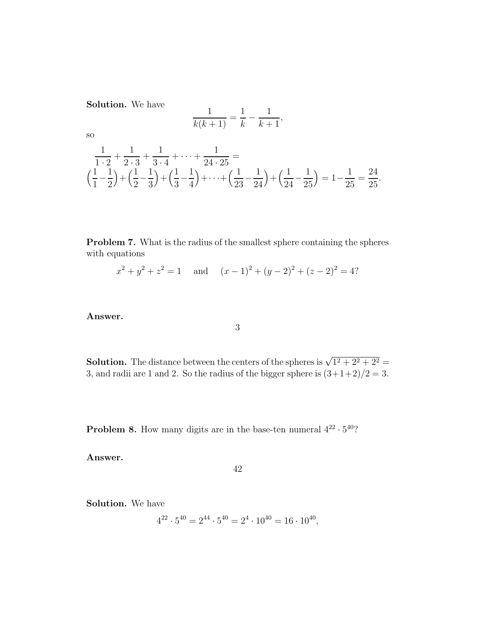**Solution.** We have

$$
\frac{1}{k(k+1)} = \frac{1}{k} - \frac{1}{k+1},
$$

so

$$
\frac{1}{1\cdot 2} + \frac{1}{2\cdot 3} + \frac{1}{3\cdot 4} + \dots + \frac{1}{24\cdot 25} =
$$
\n
$$
\left(\frac{1}{1} - \frac{1}{2}\right) + \left(\frac{1}{2} - \frac{1}{3}\right) + \left(\frac{1}{3} - \frac{1}{4}\right) + \dots + \left(\frac{1}{23} - \frac{1}{24}\right) + \left(\frac{1}{24} - \frac{1}{25}\right) = 1 - \frac{1}{25} = \frac{24}{25}.
$$

**Problem 7.** What is the radius of the smallest sphere containing the spheres with equations

$$
x^{2} + y^{2} + z^{2} = 1
$$
 and  $(x - 1)^{2} + (y - 2)^{2} + (z - 2)^{2} = 4$ ?

# **Answer.**

### 3

**Solution.** The distance between the centers of the spheres is  $\sqrt{1^2 + 2^2 + 2^2}$ 3, and radii are 1 and 2. So the radius of the bigger sphere is  $(3+1+2)/2 = 3$ .

**Problem 8.** How many digits are in the base-ten numeral  $4^{22} \cdot 5^{40}$ ?

**Answer.**

#### 42

**Solution.** We have

$$
4^{22} \cdot 5^{40} = 2^{44} \cdot 5^{40} = 2^4 \cdot 10^{40} = 16 \cdot 10^{40},
$$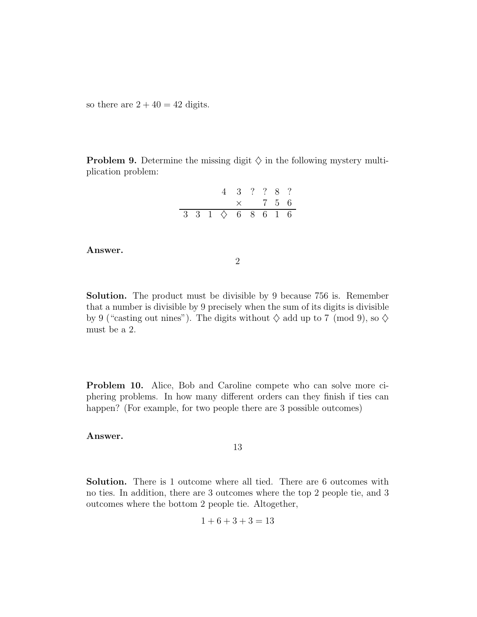so there are  $2 + 40 = 42$  digits.

**Problem 9.** Determine the missing digit  $\diamondsuit$  in the following mystery multiplication problem:

|  |                                                    | $4 \t3 \t? \t? \t8 \t?$ |                |  |  |
|--|----------------------------------------------------|-------------------------|----------------|--|--|
|  |                                                    |                         | $\times$ 7 5 6 |  |  |
|  | $3\ \ 3\ \ 1\ \ \diamond\ \ 6\ \ 8\ \ 6\ \ 1\ \ 6$ |                         |                |  |  |

#### **Answer.**

2

**Solution.** The product must be divisible by 9 because 756 is. Remember that a number is divisible by 9 precisely when the sum of its digits is divisible by 9 ("casting out nines"). The digits without  $\diamondsuit$  add up to 7 (mod 9), so  $\diamondsuit$ must be a 2.

**Problem 10.** Alice, Bob and Caroline compete who can solve more ciphering problems. In how many different orders can they finish if ties can happen? (For example, for two people there are 3 possible outcomes)

## **Answer.**

13

**Solution.** There is 1 outcome where all tied. There are 6 outcomes with no ties. In addition, there are 3 outcomes where the top 2 people tie, and 3 outcomes where the bottom 2 people tie. Altogether,

$$
1 + 6 + 3 + 3 = 13
$$